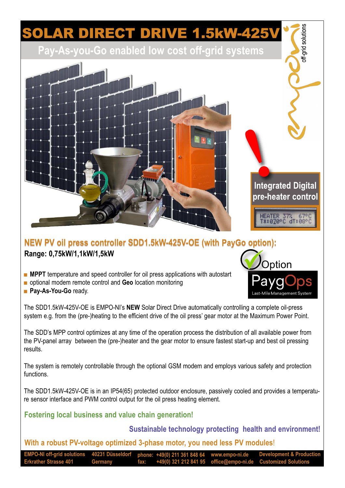## OLAR DIRECT DRIVE 1.5kW-425

**Pay-As-you-Go enabled low cost off-grid systems**



## **NEW PV oil press controller SDD1.5kW-425V-OE (with PayGo option): Range: 0,75kW/1,1kW/1,5kW**

- **MPPT** temperature and speed controller for oil press applications with autostart
- optional modem remote control and **Geo** location monitoring
- **Pay-As-You-Go** ready.

The SDD1.5kW-425V-OE is EMPO-NI's **NEW** Solar Direct Drive automatically controlling a complete oil-press system e.g. from the (pre-)heating to the efficient drive of the oil press' gear motor at the Maximum Power Point.

The SDD's MPP control optimizes at any time of the operation process the distribution of all available power from the PV-panel array between the (pre-)heater and the gear motor to ensure fastest start-up and best oil pressing results.

The system is remotely controllable through the optional GSM modem and employs various safety and protection functions.

The SDD1.5kW-425V-OE is in an IP54(65) protected outdoor enclosure, passively cooled and provides a temperature sensor interface and PWM control output for the oil press heating element.

**Fostering local business and value chain generation!**

**Sustainable technology protecting health and environment!**

**With a robust PV-voltage optimized 3-phase motor, you need less PV modules**!

**EMPO-NI off-grid solutions 40231 Düsseldorf phone: +49(0) 211 361 848 64 www.empo-ni.de Erkrather Strasse 401 Germany fax: +49(0) 321 212 841 95 office@empo-ni.de Customized Solutions Development & Production**